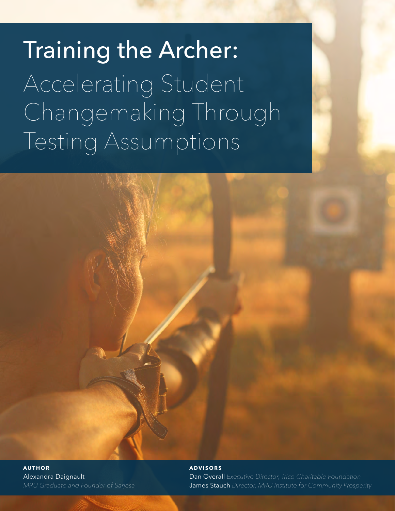# Accelerating Student Changemaking Through Testing Assumptions Training the Archer:

Alexandra Daignault **AUTHOR ADVISORS**

Dan Overall *Executive Director, Trico Charitable Foundation* James Stauch *Director, MRU Institute for Community Prosperity*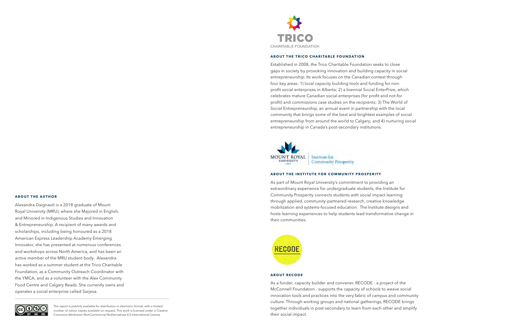

### **ABOUT THE TRICO CHARITABLE FOUNDATION**

Established in 2008, the Trico Charitable Foundation seeks to close gaps in society by provoking innovation and building capacity in social entrepreneurship. Its work focuses on the Canadian context through four key areas: 1) local capacity building tools and funding for nonprofit social enterprises in Alberta; 2) a biennial Social EnterPrize, which celebrates mature Canadian social enterprises (for profit and not-for profit) and commissions case studies on the recipients; 3) The World of Social Entrepreneurship, an annual event in partnership with the local community that brings some of the best and brightest examples of social entrepreneurship from around the world to Calgary; and 4) nurturing social entrepreneurship in Canada's post-secondary institutions.



As part of Mount Royal University's commitment to providing an extraordinary experience for undergraduate students, the Institute for Community Prosperity connects students with social impact learning through applied, community-partnered research, creative knowledge mobilization and systems-focused education. The Institute designs and hosts learning experiences to help students lead transformative change in their communities.



### **ABOUT THE INSTITUTE FOR COMMUNITY PROSPERITY**

As a funder, capacity builder and convener, RECODE - a project of the McConnell Foundation - supports the capacity of schools to weave social innovation tools and practices into the very fabric of campus and community culture. Through working groups and national gatherings, RECODE brings together individuals in post-secondary to learn from each other and amplify their social impact.

### **ABOUT RECODE**

The report is publicly available for distribution in electronic format, with a limited number of colour copies available on request. This work is licensed under a Creative Commons Attribution-NonCommercial-NoDerivatives 4.0 International License.

- 
- 
- 

Alexandra Daignault is a 2018 graduate of Mount Royal University (MRU), where she Majored in English, and Minored in Indigenous Studies and Innovation & Entrepreneurship. A recipient of many awards and scholarships, including being honoured as a 2018 American Express Leadership Academy Emerging Innovator, she has presented at numerous conferences and workshops across North America, and has been an active member of the MRU student body. Alexandra has worked as a summer student at the Trico Charitable Foundation, as a Community Outreach Coordinator with the YMCA, and as a volunteer with the Alex Community Food Centre and Calgary Reads. She currently owns and operates a social enterprise called Sarjesa.



### **ABOUT THE AUTHOR**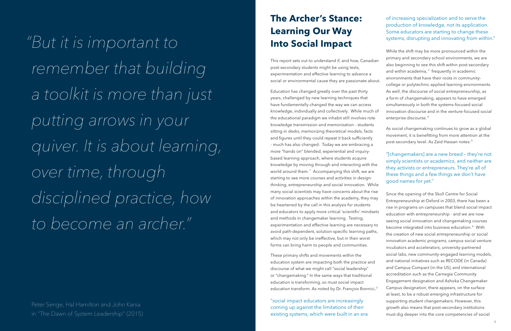the educational paradigm we inhabit still involves rote knowledge transmission and memorization - students sitting in desks, memorizing theoretical models, facts and figures until they could repeat it back sufficiently - much has also changed: Today we are embracing a more "hands on" blended, experiential and inquirybased learning approach, where students acquire knowledge by moving through and interacting with the world around them.  $^1$  Accompanying this shift, we are starting to see more courses and activities in designthinking, entrepreneurship and social innovation. While many social scientists may have concerns about the rise

This report sets out to understand if, and how, Canadian post-secondary students might be using tests, experimentation and effective learning to advance a social or environmental cause they are passionate about. Education has changed greatly over the past thirty years, challenged by new learning techniques that have fundamentally changed the way we can access knowledge, individually and collectively. While much of While the shift may be more pronounced within the primary and secondary school environments, we are also beginning to see this shift within post-secondary and within academia,  $^3$  frequently in academic environments that have their roots in communitycollege or polytechnic applied learning environments. As well, the discourse of social entrepreneurship, as a form of changemaking, appears to have emerged simultaneously in both the systems-focused social innovation discourse and in the venture-focused social enterprise discourse. 4

*But it is important to " remember that building a toolkit is more than just putting arrows in your quiver. It is about learning, over time, through disciplined practice, how to become an archer."*

## **The Archer's Stance: Learning Our Way Into Social Impact**

"social impact educators are increasingly coming up against the limitations of their existing systems, which were built in an era

of innovation approaches within the academy, they may be heartened by the call in this analysis for students and educators to apply more critical 'scientific' mindsets and methods in changemaker learning. Testing, experimentation and effective learning are necessary to avoid path-dependent, solution-specific learning paths, which may not only be ineffective, but in their worst forms can bring harm to people and communities. These primary shifts and movements within the education system are impacting both the practice and discourse of what we might call "social leadership" or "changemaking." In the same ways that traditional education is transforming, so must social impact education transform. As noted by Dr. François Bonnici, 2 Since the opening of the Skoll Centre for Social Entrepreneurship at Oxford in 2003, there has been a rise in programs on campuses that blend social impact education with entrepreneurship - and we are now seeing social innovation and changemaking courses become integrated into business education.<sup>6</sup> With the creation of new social entrepreneurship or social innovation academic programs, campus social venture incubators and accelerators, university-partnered social labs, new community-engaged learning models, and national initiatives such as RECODE (in Canada) and Campus Compact (in the US), and international accreditation such as the Carnegie Community Engagement designation and Ashoka Changemaker Campus designation, there appears, on the surface at least, to be a robust emerging infrastructure for supporting student changemakers. However, this

of increasing specialization and to serve the production of knowledge, not its application. Some educators are starting to change these systems, disrupting and innovating from within."

As social changemaking continues to grow as a global movement, it is benefitting from more attention at the post-secondary level. As Zaid Hassan notes: 5

"[changemakers] are a new breed – they're not simply scientists or academics, and neither are they activists or entrepreneurs. They're all of these things and a few things we don't have good names for yet."

growth also means that post-secondary institutions must dig deeper into the core competencies of social

 $\frac{4}{5}$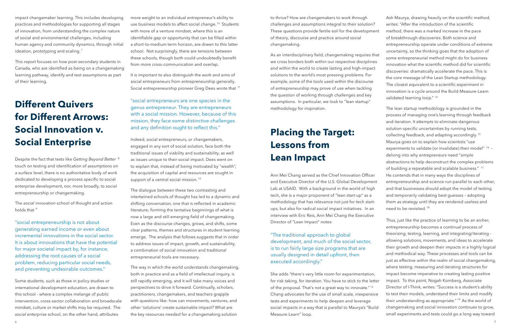Thus, just like the practice of learning to be an archer, entrepreneurship becomes a continual process of theorizing, testing, learning, and integrating/iterating – allowing solutions, movements, and ideas to accelerate their growth and deepen their impacts in a highly logical and methodical way. These processes and tools can be just as effective within the realm of social changemaking, where testing, measuring and iterating structures for impact become imperative to creating lasting positive

social entrepreneurship is not about rotes: Even as the discourse changes, grows, and shifts, some Pirector of "Lean Impact" notes: The dialogue between these two contrasting and intertwined schools of thought has led to a dynamic and shifting conversation, one that is reflected in academic literature; forming the tentative beginnings of what is now a large and still emerging field of changemaking. clear patterns, themes and structures in student learning emerge. The analysis that follows suggests that in order to address issues of impact, growth, and sustainability, a combination of social innovation and traditional entrepreneurial tools are necessary.

## **Placing the Target: Lessons from Lean Impact**

Ann Mei Chang served as the Chief Innovation Officer and Executive Director of the U.S. Global Development Lab at USAID. With a background in the world of high tech, she is a major proponent of "lean start-up" as a methodology that has relevance not just for tech startups, but also for radical social impact initiatives. In an interview with Eric Reis, Ann Mei Chang the Executive

generating earned income or even about incremental innovations in the social sector. It is about innovations that have the potential for major societal impact by, for instance, addressing the root causes of a social problem, reducing particular social needs, and preventing undesirable outcomes."

Some students, such as those in policy studies or international development education, are drawn to this school - where a complex melange of public intervention, cross-sector collaboration and broadscale mindset, culture or market shifts may be required. The *social enterprise* school, on the other hand, attributes

The *social innovation* school of thought and action holds that  $^{\circ}$ 

impact changemaker learning. This includes developing practices and methodologies for supporting all stages of innovation, from understanding the complex nature of social and environmental challenges, including human agency and community dynamics, through initial ideation, prototyping and scaling.  $^7$ 

> "social entrepreneurs are one species in the genus entrepreneur. They are entrepreneurs with a social mission. However, because of this mission, they face some distinctive challenges and any definition ought to reflect this."

It is important to also distinguish the work and aims of social entrepreneurs from entrepreneurship generally. Social entrepreneurship pioneer Greg Dees wrote that <sup>11</sup>

Ash Maurya, drawing heavily on the scientific method, writes: "After the introduction of the scientific method, there was a marked increase in the pace of breakthrough discoveries. Both science and entrepreneurship operate under conditions of extreme uncertainty, so the thinking goes that the adoption of some entrepreneurial method might do for business innovation what the scientific method did for scientific discoveries: dramatically accelerate the pace. This is the core message of the Lean Startup methodology. The closest equivalent to a scientific experiment in innovation is a cycle around the Build-Measure-Learn validated learning loop." 14

impact. To this point, Nogah Kornberg, Associate Director of I-Think, writes: "Success is a student's ability to test their models, understand their limits and modify their understanding as appropriate." <sup>19</sup> As the world of changemaking and social innovation continues to grow, small experiments and tests could go a long way toward She adds "there's very little room for experimentation, for risk taking, for iteration. You have to stick to the letter of the proposal. That's not a great way to innovate." 13 Chang advocates for the use of small scale, inexpensive tests and experiments to help deepen and leverage social impacts in a way that is parallel to Maurya's "Build-Measure-Learn" loop.

The lean startup methodology is grounded in the process of managing one's learning through feedback and iteration. It attempts to eliminate dangerous solution-specific uncertainties by running tests, collecting feedback, and adapting accordingly. 15 Maurya goes on to explain how scientists "use experiments to validate (or invalidate) their model" 16 delving into why entrepreneurs need "simple abstractions to help deconstruct the complex problems of building a repeatable and scalable business." 17 He contends that in many ways the disciplines of entrepreneurship and science run parallel to each other, and that businesses should adopt the model of testing and temporarily validating best guesses – adopting them as strategy until they are rendered useless and need to be revisited. 18

The way in which the world understands changemaking, both in practice and as a field of intellectual inquiry, is still rapidly emerging, and it will take many voices and perspectives to drive it forward. Continually, scholars, practitioners, changemakers, and teachers grapple with questions like: how can movements, ventures, and other 'solutions' create sustainable impact? What are the key resources needed for a changemaking solution

to thrive? How are changemakers to work through challenges and assumptions integral to their solution? These questions provide fertile soil for the development of theory, discourse and practice around social changemaking.

As an interdisciplinary field, changemaking requires that we cross borders both within our respective disciplines and within the world to create lasting and high-impact solutions to the world's most pressing problems. For example, some of the tools used within the discourse of entrepreneurship may prove of use when tackling the question of working through challenges and key assumptions. In particular, we look to "lean startup" methodology for inspiration.

Indeed, social entrepreneurs, or changemakers, engaged in any sort of social solution, face both the traditional issues of viability and sustainability, as well as issues unique to their social impact. Dees went on to explain that, instead of being motivated by "wealth", the acquisition of capital and resources are sought in support of a central social mission. 12

> "The traditional approach to global development, and much of the social sector, is to run fairly large size programs that are usually designed in detail upfront, then executed accordingly."

## **Different Quivers for Different Arrows: Social Innovation v. Social Enterprise**

Despite the fact that texts like *Getting Beyond Better* 8 touch on testing and identification of assumptions on a surface level, there is no authoritative body of work dedicated to developing a process specific to social enterprise development, nor, more broadly, to social entrepreneurship or changemaking.

This report focuses on how post-secondary students in Canada, who are identified as being on a changemaking learning pathway, identify and test assumptions as part of their learning.

more weight to an individual entrepreneur's ability to use business models to affect social change.<sup>10</sup> Students with more of a venture mindset, where this is an identifiable gap or opportunity that can be filled within a short-to-medium term horizon, are drawn to this latter school. Not surprisingly, there are tensions between these schools, though both could undoubtedly benefit from more cross-communication and overlap.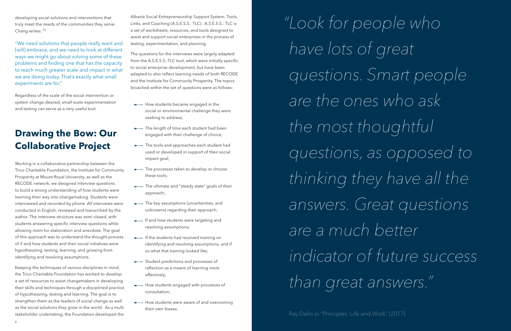## **Drawing the Bow: Our Collaborative Project**

Working in a collaborative partnership between the Trico Charitable Foundation, the Institute for Community Prosperity at Mount Royal University, as well as the RECODE network, we designed interview questions to build a strong understanding of how students were learning their way into changemaking. Students were interviewed and recorded by phone. All interviews were conducted in English, reviewed and transcribed by the author. The interview structure was semi closed, with students answering specific interview questions while allowing room for elaboration and anecdote. The goal of this approach was to understand the thought process of if and how students and their social initiatives were hypothesizing, testing, learning, and growing from identifying and resolving assumptions.

Keeping the techniques of various disciplines in mind, the Trico Charitable Foundation has worked to develop a set of resources to assist changemakers in developing their skills and techniques through a disciplined practice of hypothesizing, testing and learning. The goal is to strengthen them as the leaders of social change as well as the social solutions they grow in the world. As a multi stakeholder undertaking, the Foundation developed the

- $\rightarrow$  How students became engaged in the social or environmental challenge they were seeking to address;
- $\longrightarrow$  The length of time each student had been engaged with their challenge of choice;
- $\rightarrow$  The tools and approaches each student had used or developed in support of their social impact goal;
- $\longrightarrow$  The processes taken to develop or choose these tools;
- → The ultimate and "steady state" goals of their approach;
- $\longrightarrow$  The key assumptions (uncertainties, and unknowns) regarding their approach;
- $\longrightarrow$  If and how students were targeting and resolving assumptions;
- $\longrightarrow$  If the students had received training on identifying and resolving assumptions, and if so what that training looked like;
- $\rightarrow$  Student predictions and processes of reflection as a means of learning more effectively;
- $\rightarrow$  How students engaged with processes of consultation;
- $\rightarrow$  How students were aware of and overcoming their own biases.

Alberta Social Entrepreneurship Support System: Tools, Links, and Coaching (A.S.E.S.S.: TLC). A.S.E.S.S.: TLC is a set of worksheets, resources, and tools designed to assist and support social enterprises in the process of testing, experimentation, and planning.

The questions for the interviews were largely adapted from the A.S.E.S.S.:TLC tool, which were initially specific to social enterprise development, but have been adapted to also reflect learning needs of both RECODE and the Institute for Community Prosperity. The topics broached within the set of questions were as follows:

developing social solutions and interventions that truly meet the needs of the communities they serve. Chang writes: 20

*Look for people who " have lots of great questions. Smart people are the ones who ask the most thoughtful questions, as opposed to thinking they have all the answers. Great questions are a much better indicator of future success than great answers."*

Regardless of the scale of the social intervention or system change desired, small-scale experimentation and testing can serve as a very useful tool.

"We need solutions that people really want and [will] embrace, and we need to look at different ways we might go about solving some of these problems and finding one that has the capacity to reach much greater scale and impact in what we are doing today. That's exactly what small experiments are for."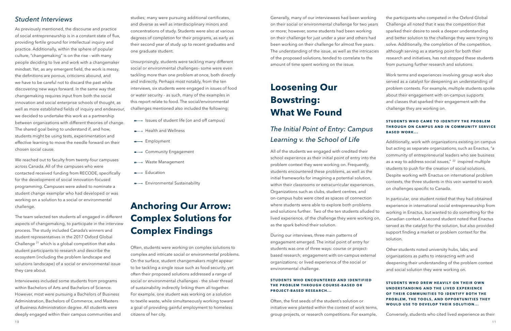As previously mentioned, the discourse and practice of social entrepreneurship is in a constant state of flux, providing fertile ground for intellectual inquiry and practice. Additionally, within the sphere of popular culture, "changemaking" is on the rise - with many people deciding to live and work with a changemaker mindset. Yet, as any emergent field, the work is messy, the definitions are porous, criticisms abound, and we have to be careful not to discard the past while discovering new ways forward. In the same way that changemaking requires input from both the social innovation and social enterprise schools of thought, as well as more established fields of inquiry and endeavour, we decided to undertake this work as a partnership between organizations with different theories of change. The shared goal being to understand if, and how, students might be using tests, experimentation and effective learning to move the needle forward on their chosen social cause.

We reached out to faculty from twenty-four campuses across Canada. All of the campuses who were contacted received funding from RECODE, specifically for the development of social innovation-focused programming. Campuses were asked to nominate a student change exemplar who had developed or was working on a solution to a social or environmental challenge.

The team selected ten students all engaged in different aspects of changemaking, to participate in the interview process. The study included Canada's winners and student representatives in the 2017 Oxford Global Challenge  $21$  which is a global competition that asks student participants to research and describe the ecosystem (including the problem landscape and solutions landscape) of a social or environmental issue they care about.

Interviewees included some students from programs within Bachelors of Arts and Bachelors of Science. However, most were pursuing a Bachelors of Business Administration, Bachelors of Commerce, and Masters of Business Administration degree. All students were deeply engaged within their campus communities and

## **Anchoring Our Arrow: Complex Solutions for Complex Findings**

Often, students were working on complex solutions to complex and intricate social or environmental problems. On the surface, student changemakers might appear to be tackling a single issue such as food security, yet often their proposed solutions addressed a range of social or environmental challenges - the silver thread of sustainability indirectly linking them all together. For example, one student was working on a solution to textile waste, while simultaneously working toward a goal of providing gainful employment to homeless citizens of her city.

### **STUDENTS WHO ENCOUNTERED AND IDENTIFIED THE PROBLEM THROUGH COURSE-BASED OR PROJECT-BASED RESEARCH...**

## **Loosening Our Bowstring: What We Found**

## *The Initial Point of Entry: Campus Learning v. the School of Life*

### **STUDENTS WHO CAME TO IDENTIFY THE PROBLEM THROUGH ON CAMPUS AND IN COMMUNITY SERVICE BASED WORK...**

All of the students we engaged with credited their school experience as their initial point of entry into the problem context they were working on. Frequently, students encountered these problems, as well as the initial frameworks for imagining a potential solution, within their classrooms or extracurricular experiences. Organizations such as clubs, student centres, and on-campus hubs were cited as spaces of connection where students were able to explore both problems and solutions further. Two of the ten students alluded to lived experience, of the challenge they were working on, as the spark behind their solution.

During our interviews, three main patterns of engagement emerged. The initial point of entry for students was one of three ways: course or projectbased research; engagement with on-campus external organizations; or lived experience of the social or environmental challenge.

### **STUDENTS WHO DREW HEAVILY ON THEIR OWN UNDERSTANDING AND THE LIVED EXPERIENCE OF THEIR COMMUNITIES TO IDENTIFY BOTH THE PROBLEM, THE TOOLS, AND OPPORTUNITIES THEY WOULD USE TO DEVELOP THEIR SOLUTION...**

### *Student Interviews*

studies; many were pursuing additional certificates, and diverse as well as interdisciplinary minors and concentrations of study. Students were also at various degrees of completion for their programs, as early as their second year of study up to recent graduates and one graduate student.

Unsurprisingly, students were tackling many different social or environmental challenges– some were even tackling more than one problem at once, both directly and indirectly. Perhaps most notably, from the ten interviews, six students were engaged in issues of food or water security - as such, many of the examples in this report relate to food. The social/environmental challenges mentioned also included the following:

- $\rightarrow$  Issues of student life (on and off campus)
- $\longrightarrow$  Health and Wellness
- $\longrightarrow$  Employment
- **■** Community Engagement
- $\rightarrow$  Waste Management
- $\rightarrow$  Education
- $\longrightarrow$  Environmental Sustainability

Generally, many of our interviewees had been working on their social or environmental challenge for two years or more; however, some students had been working on their challenge for just under a year and others had been working on their challenge for almost five years. The understanding of the issue, as well as the intricacies of the proposed solutions, tended to correlate to the amount of time spent working on the issue.

Often, the first seeds of the student's solution or initiative were planted within the context of work terms, group projects, or research competitions. For example,

the participants who competed in the Oxford Global Challenge all noted that it was the competition that sparked their desire to seek a deeper understanding and better solution to the challenge they were trying to solve. Additionally, the completion of the competition, although serving as a starting point for both their research and initiatives, has not stopped these students from pursuing further research and solutions.

Work terms and experiences involving group work also served as a catalyst for deepening an understanding of problem contexts. For example, multiple students spoke about their engagement with on-campus supports and classes that sparked their engagement with the challenge they are working on.

Additionally, work with organizations existing on campus but acting as separate organizations, such as Enactus, "a community of entrepreneurial leaders who see business as a way to address social issues,"  $22$  inspired multiple students to push for the creation of social solutions. Despite working with Enactus on international problem contexts, the three students in this vein wanted to work on challenges specific to Canada.

In particular, one student noted that they had obtained experience in international social entrepreneurship from working in Enactus, but wanted to do something for the Canadian context. A second student noted that Enactus served as the catalyst for the solution, but also provided support finding a market or problem context for the solution.

Other students noted university hubs, labs, and organizations as paths to interacting with and deepening their understanding of the problem context and social solution they were working on.

Conversely, students who cited lived experience as their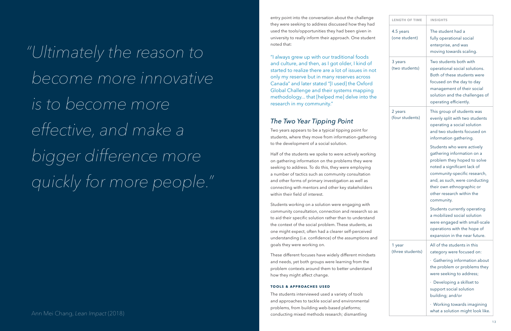*Ultimately the reason to " become more innovative is to become more effective, and make a bigger difference more quickly for more people."*

Ann Mei Chang, *Lean Impact* (2018)

### *The Two Year Tipping Point*

Two years appears to be a typical tipping point for students, where they move from information-gathering to the development of a social solution.

Half of the students we spoke to were actively working on gathering information on the problems they were seeking to address. To do this, they were employing a number of tactics such as community consultation and other forms of primary investigation as well as connecting with mentors and other key stakeholders within their field of interest.

Students working on a solution were engaging with community consultation, connection and research so as to aid their specific solution rather than to understand the context of the social problem. These students, as one might expect, often had a clearer self-perceived understanding (i.e. confidence) of the assumptions and goals they were working on.

These different focuses have widely different mindsets and needs, yet both groups were learning from the problem contexts around them to better understand how they might affect change.

"I always grew up with our traditional foods and culture, and then, as I got older, I kind of started to realize there are a lot of issues in not only my reserve but in many reserves across Canada" and later stated "[I used] the Oxford Global Challenge and their systems mapping methodology... that [helped me] delve into the research in my community."

| <b>LENGTH OF TIME</b>      | <b>INSIGHTS</b>                                                                                                                                                                                                                                                 |
|----------------------------|-----------------------------------------------------------------------------------------------------------------------------------------------------------------------------------------------------------------------------------------------------------------|
| 4.5 years<br>(one student) | The student had a<br>fully operational social<br>enterprise, and was<br>moving towards scaling.                                                                                                                                                                 |
| 3 years<br>(two students)  | Two students both with<br>operational social solutions.<br>Both of these students were<br>focused on the day to day<br>management of their social<br>solution and the challenges of<br>operating efficiently.                                                   |
| 2 years<br>(four students) | This group of students was<br>evenly split with two students<br>operating a social solution<br>and two students focused on<br>information gathering.                                                                                                            |
|                            | Students who were actively<br>gathering information on a<br>problem they hoped to solve<br>noted a significant lack of<br>community-specific research,<br>and, as such, were conducting<br>their own ethnographic or<br>other research within the<br>community. |
|                            | Students currently operating<br>a mobilized social solution<br>were engaged with small-scale<br>operations with the hope of<br>expansion in the near future.                                                                                                    |
| 1 year<br>(three students) | All of the students in this<br>category were focused on:                                                                                                                                                                                                        |
|                            | · Gathering information about<br>the problem or problems they<br>were seeking to address;                                                                                                                                                                       |
|                            | · Developing a skillset to<br>support social solution<br>building; and/or                                                                                                                                                                                       |
|                            | · Working towards imagining<br>what a solution might look like.                                                                                                                                                                                                 |

entry point into the conversation about the challenge they were seeking to address discussed how they had used the tools/opportunities they had been given in university to really inform their approach. One student noted that:

### **TOOLS & APPROACHES USED**

The students interviewed used a variety of tools and approaches to tackle social and environmental problems, from building web-based platforms; conducting mixed methods research; dismantling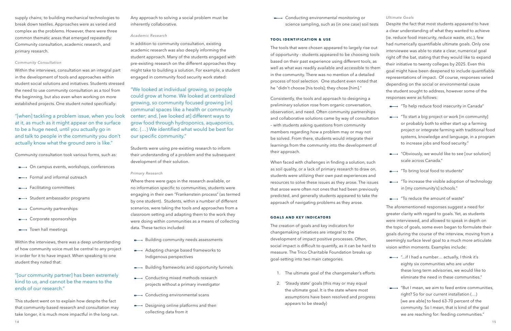### *Community Consultation*

Within the interviews, consultation was an integral part in the development of tools and approaches within student social solutions and initiatives. Students stressed the need to use community consultation as a tool from the beginning, but also even when working on more established projects. One student noted specifically:

Within the interviews, there was a deep understanding of how community voice must be central to any project in order for it to have impact. When speaking to one student they noted that:

"[when] tackling a problem issue, when you look at it, as much as it might appear on the surface to be a huge need, until you actually go in and talk to people in the community you don't actually know what the ground zero is like."

Community consultation took various forms, such as:

- → On campus events, workshops, conferences
- **■** Formal and informal outreach
- **■** Facilitating committees
- $\longrightarrow$  Student ambassador programs
- $\rightarrow$  Community partnerships
- $\longrightarrow$  Corporate sponsorships
- **■** Town hall meetings

This student went on to explain how despite the fact that community-based research and consultation may take longer, it is much more impactful in the long run.

### "[our community partner] has been extremely kind to us, and cannot be the means to the ends of our research."

### *Academic Research*

- $\rightarrow$  Building community needs assessments
- Adapting change based frameworks to Indigenous perspectives
- $\rightarrow$  Building frameworks and opportunity funnels
- $\longrightarrow$  Conducting mixed methods research projects without a primary investigator
- $\longrightarrow$  Conducting environmental scans
- $\longrightarrow$  Designing online platforms and then collecting data from it

**E** Conducting environmental monitoring or

In addition to community consultation, existing academic research was also deeply informing the student approach. Many of the students engaged with pre-existing research on the different approaches they might take to building a solution. For example, a student engaged in community food security work stated:

Students were using pre-existing research to inform their understanding of a problem and the subsequent development of their solution.

"We looked at individual growing, so people could grow at home. We looked at centralized growing, so community focused growing [in] communal spaces like a health or community center; and, [we looked at] different ways to grow food through hydroponics, aquaponics, etc. (…) We identified what would be best for our specific community."

### *Primary Research*

Where there were gaps in the research available, or no information specific to communities, students were engaging in their own "Frankenstein process" (as termed by one student). Students, within a number of different scenarios, were taking the tools and approaches from a classroom setting and adapting them to the work they were doing within communities as a means of collecting data. These tactics included:

- $\longrightarrow$  "To start a big project or work [in community] or probably both to either start up a farming project or integrate farming with traditional food systems, knowledge and language, in a program to increase jobs and food security."
	- **■** "Obviously, we would like to see [our solution] scale across Canada."
- To bring local food to students"
- To increase the visible adoption of technology in [my community's] schools."

 $\longrightarrow$  "To reduce the amount of waste"

- → "...if I had a number... actually, I think it's eighty six communities who are under these long term advisories, we would like to eliminate the need in these communities."
- **»** <sup>"</sup>But I mean, we aim to feed entire communities, right? So for our current installation (…) [we are able] to feed 63-70 percent of the community. So I mean, that is kind of the goal we are reaching for: feeding communities."

Consistently, the tools and approach to designing a preliminary solution rose from organic conversation, observation, and need. Often community partnerships and collaborative solutions came by way of consultation – with students asking questions from community members regarding how a problem may or may not be solved. From there, students would integrate their learnings from the community into the development of their approach.

When faced with challenges in finding a solution, such as soil quality, or a lack of primary research to draw on, students were utilizing their own past experiences and resources to solve these issues as they arose. The issues that arose were often not ones that had been previously predicted, and generally students appeared to take the approach of navigating problems as they arose.

**TOOL IDENTIFICATION & USE** The tools that were chosen appeared to largely rise out of opportunity - students appeared to be choosing tools based on their past experience using different tools, as well as what was readily available and accessible to them in the community. There was no mention of a detailed process of tool selection. One student even noted that he "didn't choose [his tools]; they chose [him]." Despite the fact that most students appeared to have a clear understanding of what they wanted to achieve (ie. reduce food insecurity, reduce waste, etc.), few had numerically quantifiable ultimate goals. Only one interviewee was able to state a clear, numerical goal right off the bat, stating that they would like to expand their initiative to twenty colleges by 2025. Even this goal might have been deepened to include quantifiable representations of impact. Of course, responses varied depending on the social or environmental cause the student sought to address, however some of the responses were as follows: science sampling, such as (in one case) soil tests

### **GOALS AND KEY INDICATORS**

The creation of goals and key indicators for changemaking initiatives are integral to the development of impact positive processes. Often, social impact is difficult to quantify, as it can be hard to measure. The Trico Charitable Foundation breaks up goal-setting into two main categories.

- The ultimate goal of the changemaker's efforts 1.
- 2. 'Steady state' goals (this may or may equal the ultimate goal. It is the state where most assumptions have been resolved and progress appears to be steady)

### *Ultimate Goals*

To help reduce food insecurity in Canada"

supply chains; to building mechanical technologies to break down textiles. Approaches were as varied and complex as the problems. However, there were three common thematic areas that emerged repeatedly: Community consultation, academic research, and primary research.

Any approach to solving a social problem must be inherently collaborative.

> The aforementioned responses suggest a need for greater clarity with regard to goals. Yet, as students were interviewed, and allowed to speak in depth on the topic of goals, some even began to formulate their goals during the course of the interview, moving from a seemingly surface level goal to a much more articulate vision within moments. Examples include: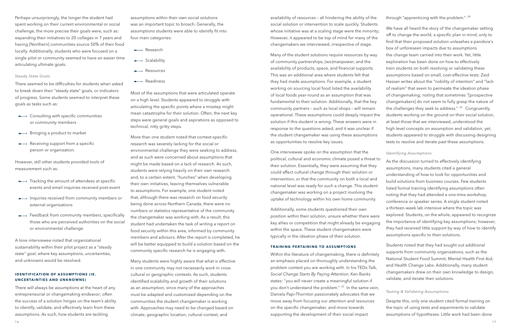- $\rightarrow$  Tracking the amount of attendees at specific events and email inquiries received post-event
- $\rightarrow$  Inquiries received from community members or external organizations
- **■** Feedback from community members, specifically those who are perceived authorities on the social or environmental challenge

### **IDENTIFICATION OF ASSUMPTIONS (IE. UNCERTAINTIES AND UNKNOWNS)**

A lone interviewee noted that organizational sustainability within their pilot project as a "steady state" goal, where key assumptions, uncertainties, and unknowns would be resolved.

There will always be assumptions at the heart of any entrepreneurial or changemaking endeavor; often the success of a solution hinges on the team's ability to identify, validate, and effectively learn from these assumptions. As such, how students are tackling

Most of the assumptions that were articulated operate on a high level. Students appeared to struggle with articulating the specific points where a misstep might mean catastrophe for their solution. Often, the next key steps were general goals and aspirations as opposed to technical, nitty gritty steps.

More than one student noted that context-specific research was severely lacking for the social or environmental challenge they were seeking to address, and as such were concerned about assumptions that might be made based on a lack of research. As such, students were relying heavily on their own research and, to a certain extent, "hunches" when developing their own initiatives, leaving themselves vulnerable to assumptions. For example, one student noted that, although there was research on food security being done across Northern Canada, there were no numbers or statistics representative of the community the changemaker was working with. As a result, this student had undertaken the task of writing a report on food security within this area, informed by community members and advisors. After the report is completed, he will be better equipped to build a solution based on the community specific research he is engaging with.

Many students were highly aware that what is effective in one community may not necessarily work in cross cultural or geographic contexts. As such, students identified scalability and growth of their solutions as an assumption, since many of the approaches must be adapted and customized depending on the communities the student changemaker is working with. Approaches may need to be changed based on climate, geographic location, cultural context, and

- $\rightarrow$  Consulting with specific communities or community members
- $\rightarrow$  Bringing a product to market
- $\longrightarrow$  Receiving support from a specific person or organization.

typically in the ideation phase of their solution.

Perhaps unsurprisingly, the longer the student had spent working on their current environmental or social challenge, the more precise their goals were, such as: expanding their initiatives to 20 colleges in 7 years and having [Northern] communities source 50% of their food locally. Additionally, students who were focused on a single pilot or community seemed to have an easier time articulating ultimate goals.

### *Steady State Goals*

**TRAINING PERTAINING TO ASSUMPTIONS** Within the literature of changemaking, there is definitely an emphasis placed on thoroughly understanding the problem context you are working with. In his TEDx Talk, *Social Change Starts By Paying Attention*, Ken Banks states: "you will never create a meaningful solution if you don't understand the problem." <sup>23</sup> In the same vein, Daniela Papi-Thornton passionately advocates that we move away from focusing our attention and resources on the specific changemaker, and move towards supporting the development of their social impact Students noted that they had sought out additional supports from community organizations, such as the National Student Food Summit; Mental Health First Aid; and Health Change Labs. Additionally, many student changemakers drew on their own knowledge to design, validate, and iterate their solutions. *Testing & Validating Assumptions* Despite this, only one student cited formal training on the topic of using tests and experiments to validate assumptions of hypotheses. Little work had been done

One interviewee spoke on the assumption that the political, cultural and economic climate posed a threat to their solution. Essentially, they were assuming that they could affect cultural change through their solution or intervention, or that the community on both a local and national level was ready for such a change. This student changemaker was working on a project involving the uptake of technology within his own home community. Additionally, some students questioned their own position within their solution, unsure whether there were key allies or competition that might already be engaging within the space. These student changemakers were *Identifying Assumptions* As the discussion turned to effectively identifying assumptions, many students cited a general understanding of how to look for opportunities and build solutions from business courses. Few students listed formal training identifying assumptions often noting that they had attended a one-time workshop, conference or speaker series. A single student noted a thirteen-week lab intensive where the topic was explored. Students, on the whole, appeared to recognize the importance of identifying key assumptions; however, they had received little support by way of how to identify assumptions specific to their solutions.

There seemed to be difficulties for students when asked to break down their "steady state" goals, or indicators of progress. Some students seemed to interpret these goals as tasks such as:

availability of resources – all hindering the ability of the social solution or intervention to scale quickly. Students whose initiative was at a scaling stage were the minority; However, it appeared to be top of mind for many of the changemakers we interviewed, irrespective of stage. Many of the student solutions require resources by way of community partnerships, (wo)manpower, and the availability of products, space, and financial supports. This was an additional area where students felt that they had made assumptions. For example, a student working on sourcing local food listed the availability of local foods year-round as an assumption that was fundamental to their solution. Additionally, that the key community partners – such as local shops – will remain operational. These assumptions could deeply impact the solution if this student is wrong. These answers were in response to the questions asked, and it was unclear if the student changemaker was using these assumptions through "apprenticing with the problem." 24 We have all heard the story of the changemaker setting off to change the world, a specific plan in mind, only to find that their proposed solution unleashes a pandora's box of unforeseen impacts due to assumptions the change team carried into their work. Yet, little exploration has been done on how to effectively train students on both resolving or validating these assumptions based on small, cost-effective tests. Zaid Hassan writes about the "nobility of intention" and "lack of realism" that seem to permeate the ideation phase of changemaking; noting that sometimes "[prospective changemakers] do not seem to fully grasp the nature of the challenges they seek to address."<sup>25</sup> Congruently, students working on the ground on their social solution, at least those that we interviewed, understood the high level concepts on assumption and validation; yet, students appeared to struggle with discussing designing

However, still other students provided tools of measurement such as:

assumptions within their own social solutions was an important topic to broach. Generally, the assumptions students were able to identify fit into four main categories:

- **B** Research
- $\longrightarrow$  Scalability
- $\rightarrow$  Resources
- $\longrightarrow$  Readiness

as opportunities to resolve key issues. tests to resolve and iterate past these assumptions.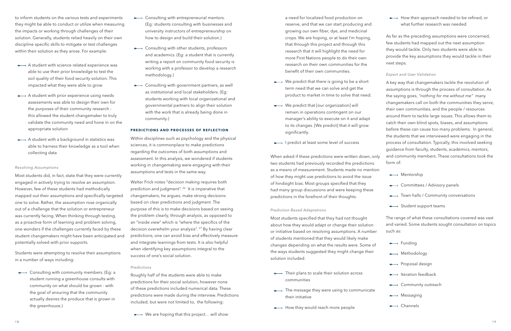- A student with science related experience was able to use their prior knowledge to test the soil quality of their food security solution. This impacted what they were able to grow
- $\rightarrow$  A student with prior experience using needs assessments was able to design their own for the purposes of their community research this allowed the student changemaker to truly validate the community need and hone in on the appropriate solution
- A student with a background in statistics was able to harness their knowledge as a tool when collecting data

### *Resolving Assumptions*

**■** Consulting with community members. (Eg: a student running a greenhouse consults with community on what should be grown - with the goal of ensuring that the community actually desires the produce that is grown in the greenhouse.)

Most students did, in fact, state that they were currently engaged in actively trying to resolve an assumption. However, few of these students had methodically mapped out their assumptions and specifically targeted one to solve. Rather, the assumption rose organically out of a challenge that the solution or entrepreneur was currently facing. When thinking through testing, as a proactive form of learning and problem solving, one wonders if the challenges currently faced by these student changemakers might have been anticipated and potentially solved with prior supports.

Students were attempting to resolve their assumptions in a number of ways including:

### **PREDICTIONS AND PROCESSES OF REFLECTION**

Within disciplines such as psychology and the physical sciences, it is commonplace to make predictions regarding the outcomes of both assumptions and assessment. In this analysis, we wondered if students working in changemaking were engaging with their assumptions and tests in the same way.

- **E** Consulting with entrepreneurial mentors. (Eg: students consulting with businesses and university instructors of entrepreneurship on how to design and build their solution.)
- **E** Onsulting with other students, professors and academics. (Eg: a student that is currently writing a report on community food security is working with a professor to develop a research methodology.)
- $\rightarrow$  Consulting with government partners, as well as institutional and local stakeholders. (Eg: students working with local organizational and governmental partners to align their solution with the work that is already being done in community.)
- a need for localized food production on reserve, and that we can start producing and growing our own fiber, dye, and medicinal crops. We are hoping, or at least I'm hoping, that through this project and through this research that it will highlight the need for more First Nations people to do their own research on their own communities for the benefit of their own communities.
- → We predict that there is going to be a short term need that we can solve and get the product to market in time to solve that need.
- $\rightarrow$  We predict that [our organization] will remain in operations contingent on our manager's ability to execute on it and adapt to its changes. [We predict] that it will grow significantly.
- **■** I predict at least some level of success

Walter Frick notes "decision making requires both prediction and judgment".  $26$  It is imperative that changemakers, he argues, make strong decisions based on clear predictions and judgment. The purpose of this is to make decisions based on seeing the problem clearly, through analysis, as opposed to an "inside view" which is "where the specifics of the decision overwhelm your analysis". <sup>27</sup> By having clear predictions, one can avoid bias and effectively measure and integrate learnings from tests. It is also helpful when identifying key assumptions integral to the success of one's social solution.

Most students specified that they had not thought about how they would adapt or change their solution or initiative based on resolving assumptions. A number of students mentioned that they would likely make changes depending on what the results were. Some of the ways students suggested they might change their solution included: The range of what these consultations covered was vast and varied. Some students sought consultation on topics such as:  $\rightarrow$  Funding <del>■</del> Methodology

### *Predictions*

- → Their plans to scale their solution across communities
- $\rightarrow$  The message they were using to communicate their initiative
- $\rightarrow$  How they would reach more people

Roughly half of the students were able to make predictions for their social solution, however none of these predictions included numerical data. These predictions were made during the interview. Predictions included, but were not limited to, the following:

 $\longrightarrow$  We are hoping that this project... will show

### $\longrightarrow$  How their approach needed to be refined, or what further research was needed

to inform students on the various tests and experiments they might be able to conduct or utilize when measuring the impacts or working through challenges of their solution. Generally, students relied heavily on their own discipline specific skills to mitigate or test challenges within their solution as they arose. For example:

> When asked if these predictions were written down, only two students had previously recorded the predictions as a means of measurement. Students made no mention of how they might use predictions to avoid the issue of hindsight bias. Most groups specified that they had many group discussions and were keeping these predictions in the forefront of their thoughts.

### *Prediction Based Adaptations*

As far as the preceding assumptions were concerned, few students had mapped out the next assumption they would tackle. Only two students were able to provide the key assumptions they would tackle in their next steps.

### *Expert and User Validation*

A key way that changemakers tackle the resolution of assumptions is through the process of consultation. As the saying goes, *"nothing for me without me"* many changemakers call on both the communities they serve, their own communities, and the people / resources around them to tackle large issues. This allows them to catch their own blind spots, biases, and assumptions before these can cause too many problems. In general, the students that we interviewed were engaging in the process of consultation. Typically, this involved seeking guidance from faculty, students, academics, mentors, and community members. These consultations took the form of:

- $\rightarrow$  Mentorship
- **E** Committees / Advisory panels
- **■** Town halls / Community conversations
- $\longrightarrow$  Student support teams
- 
- 
- **B** Proposal design
- **■** Iteration feedback
- **■** Community outreach
- <del>■</del> Messaging
- $\longrightarrow$  Channels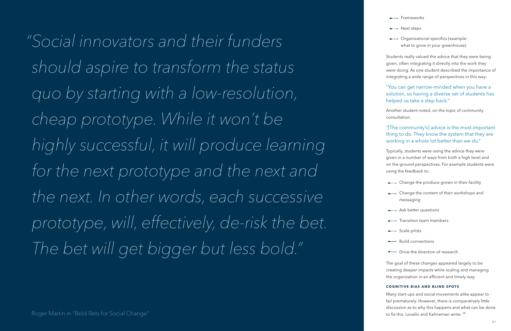*Social innovators and their funders " should aspire to transform the status quo by starting with a low-resolution, cheap prototype. While it won't be highly successful, it will produce learning for the next prototype and the next and the next. In other words, each successive prototype, will, effectively, de-risk the bet. The bet will get bigger but less bold."*

### $\longrightarrow$  Frameworks

 $\longrightarrow$  Next steps

The goal of these changes appeared largely to be creating deeper impacts while scaling and managing the organization in an efficient and timely way.

### **COGNITIVE BIAS AND BLIND SPOTS**

 $\longrightarrow$  Organizational specifics (example: what to grow in your greenhouse)

Students really valued the advice that they were being given, often integrating it directly into the work they were doing. As one student described the importance of integrating a wide range of perspectives in this way:

Many start-ups and social movements alike appear to fail prematurely. However, there is comparatively little discussion as to why this happens and what can be done to fix this. Lovallo and Kahneman write: 28

"You can get narrow-minded when you have a solution, so having a diverse set of students has helped us take a step back."

Another student noted, on the topic of community consultation:

"[The community's] advice is the most important thing to do. They know the system that they are working in a whole lot better than we do."

Typically, students were using the advice they were given in a number of ways from both a high level and on the ground perspectives. For example students were using the feedback to:

- $\rightarrow$  Change the produce grown in their facility
- Change the content of their workshops and  $\overline{\mathbb{D}}$   $\longrightarrow$ messaging
- $\longrightarrow$  Ask better questions
- $\longrightarrow$  Transition team members
- $\longrightarrow$  Scale pilots
- $\rightarrow$  Build connections
- $\rightarrow$  Drive the direction of research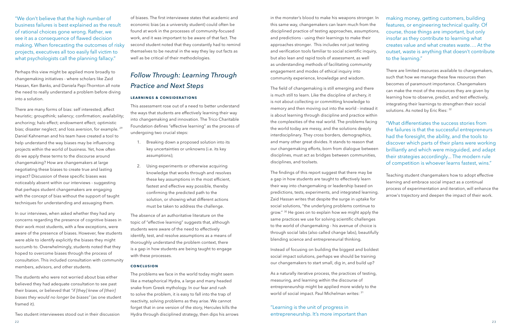## *Follow Through: Learning Through Practice and Next Steps*

### **LEARNINGS & CONSIDERATIONS**

This assessment rose out of a need to better understand the ways that students are effectively learning their way into changemaking and innovation. The Trico Charitable Foundation defines "effective learning" as the process of undergoing two crucial steps:

- 1. Breaking down a proposed solution into its key uncertainties or unknowns (i.e. its key assumptions);
- Using experiments or otherwise acquiring 2. knowledge that works through and resolves these key assumptions in the most efficient, fastest and effective way possible, thereby confirming the predicted path to the solution, or showing what different actions must be taken to address the challenge.

"We don't believe that the high number of business failures is best explained as the result of rational choices gone wrong. Rather, we see it as a consequence of flawed decision making. When forecasting the outcomes of risky projects, executives all too easily fall victim to what psychologists call the planning fallacy."

> The absence of an authoritative literature on the topic of "effective learning" suggests that, although students were aware of the need to effectively identify, test, and resolve assumptions as a means of thoroughly understand the problem context, there is a gap in how students are being taught to engage with these processes.

Perhaps this view might be applied more broadly to changemaking initiatives - where scholars like Zaid Hassan, Ken Banks, and Daniela Papi-Thornton all note the need to really understand a problem before diving into a solution.

There are many forms of bias: self interested; affect heuristic; groupthink; saliency; confirmation; availability; anchoring; halo effect; endowment effect; optimistic bias; disaster neglect; and loss aversion, for example. 29 Daniel Kahneman and his team have created a tool to help understand the way biases may be influencing projects within the world of business. Yet, how often do we apply these terms to the discourse around changemaking? How are changemakers at large negotiating these biases to create true and lasting impact? Discussion of these specific biases was noticeably absent within our interviews - suggesting that perhaps student changemakers are engaging with the concept of bias without the support of taught techniques for understanding and assuaging them.

In our interviews, when asked whether they had any concerns regarding the presence of cognitive biases in their work most students, with a few exceptions, were aware of the presence of biases. However, few students were able to identify explicitly the biases they might succumb to. Overwhelmingly, students noted that they hoped to overcome biases through the process of consultation. This included consultation with community members, advisors, and other students.

The students who were not worried about bias either believed they had adequate consultation to see past their biases, or believed that *"if [they] knew of [their] biases they would no longer be biases"* (as one student framed it).

Two student interviewees stood out in their discussion

### **CONCLUSION**

There are limited resources available to changemakers, such that how we manage these few resources then becomes of paramount importance. Changemakers can make the most of the resources they are given by learning how to observe, predict, and test effectively, integrating their learnings to strengthen their social solutions. As noted by Eric Ries:  $^{32}$ 

The problems we face in the world today might seem like a metaphorical Hydra, a large and many headed snake from Greek mythology. In our fear and rush to solve the problem, it is easy to fall into the trap of reactivity, solving problems as they arise. We cannot forget that in one version of the story, Hercules kills the Hydra through disciplined strategy, then dips his arrows

of biases. The first interviewee states that academic and economic bias (as a university student) could often be found at work in the processes of community-focused work, and it was important to be aware of that fact. The second student noted that they constantly had to remind themselves to be neutral in the way they lay out facts as well as be critical of their methodologies.

in the monster's blood to make his weapons stronger. In this same way, changemakers can learn much from the disciplined practice of testing approaches, assumptions, and predictions - using their learnings to make their approaches stronger. This includes not just testing and verification tools familiar to social scientific inquiry, but also lean and rapid tools of assessment, as well as understanding methods of facilitating community engagement and modes of ethical inquiry into community experience, knowledge and wisdom.

The field of changemaking is still emerging and there is much still to learn. Like the discipline of archery, it is not about collecting or committing knowledge to memory and then moving out into the world - instead it is about learning through discipline and practice within the complexities of the real world. The problems facing the world today are messy, and the solutions deeply interdisciplinary. They cross borders, demographics, and many other great divides. It stands to reason that our changemaking efforts, born from dialogue between disciplines, must act as bridges between communities, disciplines, and toolsets.

The findings of this report suggest that there may be a gap in how students are taught to effectively learn their way into changemaking or leadership based on predictions, tests, experiments, and integrated learning. Zaid Hassan writes that despite the surge in uptake for social solutions, "the underlying problems continue to grow."  $^{\rm 30}$  He goes on to explain how we might apply the same practices we use for solving scientific challenges to the world of changemaking - his avenue of choice is through social labs (also called change labs), beautifully blending science and entrepreneurial thinking.

Instead of focusing on building the biggest and boldest social impact solutions, perhaps we should be training our changemakers to start small, dig in, and build up?

"Learning is the unit of progress in entrepreneurship. It's more important than

making money, getting customers, building features, or engineering technical quality. Of course, those things are important, but only insofar as they contribute to learning what creates value and what creates waste…. At the outset, waste is anything that doesn't contribute to the learning."

As a naturally iterative process, the practices of testing, measuring, and learning within the discourse of entrepreneurship might be applied more widely to the world of social impact. Paul Michelman writes: 31

- "What differentiates the success stories from the failures is that the successful entrepreneurs had the foresight, the ability, and the tools to discover which parts of their plans were working brilliantly and which were misguided, and adapt their strategies accordingly... The modern rule of competition is whoever learns fastest, wins."
- Teaching student changemakers how to adopt effective learning and embrace social impact as a continual process of experimentation and iteration, will enhance the arrow's trajectory and deepen the impact of their work.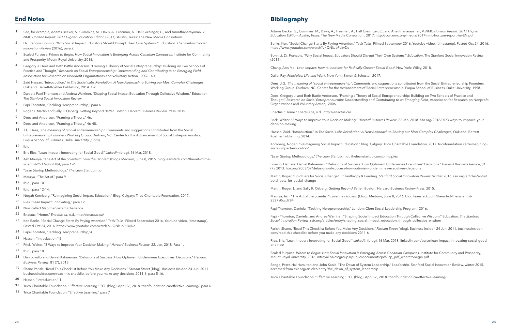### **End Notes**

- 1 See, for example, Adams Becker, S., Cummins, M., Davis, A., Freeman, A., Hall Giesinger, C., and Ananthanarayanan, V. *NMC Horizon Report: 2017 Higher Education Edition* (2017). Austin, Texas: The New Media Consortium.
- 2 Dr. Francois Bonnici. "Why Social Impact Educators Should Disrupt Their Own Systems." Education. *The Stanford Social Innovation Review* (2016), para 2.
- 3 Scaled Purpose, *Where to Begin: How Social Innovation is Emerging Across Canadian Campuses*. Institute for Community and Prosperity, Mount Royal University, 2016.
- 4 Gregory J. Dees and Beth Battle Anderson. "Framing a Theory of Social Entrepreneurship: Building on Two Schools of Practice and Thought," *Research on Social Entrepreneurship: Understanding and Contributing to an Emerging Field*, Association for Research on Nonprofit Organizations and Voluntary Action, 2006. 40.
- 5 Zaid Hassan. "Introduction." in *The Social Labs Revolution: A New Approach to Solving our Most Complex Challenges*, Oakland: Berrett-Koehler Publishing, 2014. 1-2.
- 6 Daniela Papi-Thornton and Andrea Warriner. "Shaping Social Impact Education Through Collective Wisdom." Education. *The Stanford Social Innovation Review.*
- 7 Papi-Thornton, "Tackling Heropreneurship," para 6.
- 8 Roger. L Martin and Sally R. Osberg. *Getting Beyond Better*. Boston: Harvard Business Review Press, 2015.
- 9 Dees and Anderson, "Framing a Theory," 46.
- 10 Dees and Anderson, "Framing a Theory," 46-48.
- 11 J.G. Dees, *The meaning of "social entrepreneurship"*. Comments and suggestions contributed from the Social Entrepreneurship Founders Working Group. Durham, NC: Center for the Advancement of Social Entrepreneurship, Fuqua School of Business, Duke University (1998).
- 12 Ibid.
- 13 Eric Ries. "Lean Impact : Innovating for Social Good." *LinkedIn* (blog). 16 Mar, 2018.
- 14 Ash Maurya. "The Art of the Scientist." *Love the Problem* (blog). Medium, June 8, 2016. blog.leanstack.com/the-art-of-thescientist-2537a0ccd784, para 1-2.
- 15 "Lean Startup Methodology." *The Lean Startup*, n.d.
- 16 Maurya, "The Art of," para 9.
- 17 Ibid., para 10.
- 18 Ibid., para 12-14.
- 19 Nogah Kornberg, "Reimagining Social Impact Education." Blog. Calgary: Trico Charitable Foundation, 2017.
- 20 Ries, "Lean Impact: Innovating," para 12.
- 21 Now called Map the System Challenge.
- 22 Enactus. "Home." *Enactus.ca*, n.d., http://enactus.ca/
- 23 Ken Banks. "Social Change Starts By Paying Attention." *Tedx Talks*. Filmed September 2016, Youtube video, (timestamp). Posted Oct 24, 2016. https://www.youtube.com/watch?v=QNkJbPLkvDc
- 24 Papi-Thornton, "Tackling Heropreneurship,"4.
- 25 Hassan, "Introduction," 5.
- 26 Frick, Walter. "3 Ways to Improve Your Decision Making." *Harvard Business Review*. 22. Jan, 2018. Para 1.
- 27 Ibid., para 10.
- 28 Dan Lovallo and Daniel Kahneman. "Delusions of Success: How Optimism Undermines Executives' Decisions." *Harvard Business Review*, 81 (7), 2013.
- 29 Shane Parish. "Read This Checklist Before You Make Any Decisions." *Farnam Street* (blog). *Business Insider*, 24 Jun, 2011. businessinsider.com/read-this-checklist-before-you-make-any-decisions-2011-6, para 5-16.
- 30 Hassan, "Introduction," 1.
- 31 Trico Charitable Foundation. "Effective Learning." *TCF* (blog). April 26, 2018. tricofoundation.ca/effective-learning/, para 6
- 32 Trico Charitable Foundation. "Effective Learning." para 7

### **Bibliography**

- Adams Becker, S., Cummins, M., Davis, A., Freeman, A., Hall Giesinger, C., and Ananthanarayanan, V. *NMC Horizon Report: 2017 Higher Education Edition*. Austin, Texas: The New Media Consortium, 2017. http://cdn.nmc.org/media/2017-nmc-horizon-report-he-EN.pdf
- Banks, Ken. "Social Change Starts By Paying Attention." *Tedx Talks*. Filmed September 2016, Youtube video, (timestamp). Posted Oct 24, 2016. https://www.youtube.com/watch?v=QNkJbPLkvDc
- Bonnici, Dr. Francois. "Why Social Impact Educators Should Disrupt Their Own Systems." *Education*. The Stanford Social Innovation Review (2016).
- Chang, Ann Mei. *Lean Impact: How to Innovate for Radically Greater Social Good*. New York: Wiley, 2018.
- Dalio, Ray. *Principles: Life and Work*. New York: Simon & Schuster, 2017.
- Dees, J.G. *The meaning of "social entrepreneurship"*. Comments and suggestions contributed from the Social Entrepreneurship Founders Working Group. Durham, NC: Center for the Advancement of Social Entrepreneurship, Fuqua School of Business, Duke University, 1998.
- Dees, Gregory J. and Beth Battle Anderson. "Framing a Theory of Social Entrepreneurship: Building on Two Schools of Practice and Thought," *Research on Social Entrepreneurship: Understanding and Contributing to an Emerging Field*, Association for Research on Nonprofit Organizations and Voluntary Action, 2006.
- Enactus. "Home." *Enactus.ca*, n.d., http://enactus.ca/
- Frick, Walter. "3 Ways to Improve Your Decision Making." *Harvard Business Review*. 22 Jan, 2018. hbr.org/2018/01/3-ways-to-improve-yourdecision-making
- Hassan, Zaid. "Introduction." in *The Social Labs Revolution: A New Approach to Solving our Most Complex Challenges,* Oakland: Berrett-Koehler Publishing, 2014.
- Kornberg, Nogah. "Reimagining Social Impact Education." *Blog*. Calgary: Trico Charitable Foundation, 2017. tricofoundation.ca/reimaginingsocial-impact-education/
- "Lean Startup Methodology." *The Lean Startup*, n.d., theleanstartup.com/principles
- Lovallo, Dan and Daniel Kahneman. "Delusions of Success: How Optimism Undermines Executives' Decisions." *Harvard Business Review*, 81 (7), 2013. hbr.org/2003/07/delusions-of-success-how-optimism-undermines-executives-decisions
- Martin, Roger. "Bold Bets for Social Change." Philanthropy & Funding. *Stanford Social Innovation Review*, Winter 2016. ssir.org/articles/entry/ bold\_bets\_for\_social\_change
- Martin, Roger. L, and Sally R. Osberg. *Getting Beyond Better.* Boston: Harvard Business Review Press, 2015.
- Maurya, Ash. "The Art of the Scientist." *Love the Problem* (blog). Medium, June 8, 2016. blog.leanstack.com/the-art-of-the-scientist-2537a0ccd784
- Papi-Thornton, Daniela. "Tackling Heropreneurship." London: Clore Social Leadership Program, 2016.
- Papi Thornton, Daniela, and Andrea Warriner. "Shaping Social Impact Education Through Collective Wisdom." Education. *The Stanford Social Innovation Review*. ssir.org/articles/entry/shaping\_social\_impact\_education\_through\_collective\_wisdom
- Parish, Shane. "Read This Checklist Before You Make Any Decisions." *Farnam Street* (blog). Business Insider, 24 Jun, 2011. businessinsider. com/read-this-checklist-before-you-make-any-decisions-2011-6
- Ries, Eric. "Lean Impact : Innovating for Social Good." *LinkedIn* (blog). 16 Mar, 2018. linkedin.com/pulse/lean-impact-innovating-social-gooderic-ries/
- Scaled Purpose, *Where to Begin: How Social Innovation is Emerging Across Canadian Campuses*. Institute for Community and Prosperity, Mount Royal University, 2016. mtroyal.ca/cs/groups/public/documents/pdf/icp\_pdf\_wheretobegin.pdf
- Senge, Peter, Hal Hamilton and John Kania. "The Dawn of System Leadership." *Leadership.* Stanford Social Innovation Review, winter 2015, accessed from ssir.org/articles/entry/the\_dawn\_of\_system\_leadership
- Trico Charitable Foundation. "Effective Learning." *TCF* (blog). April 26, 2018. tricofoundation.ca/effective-learning/